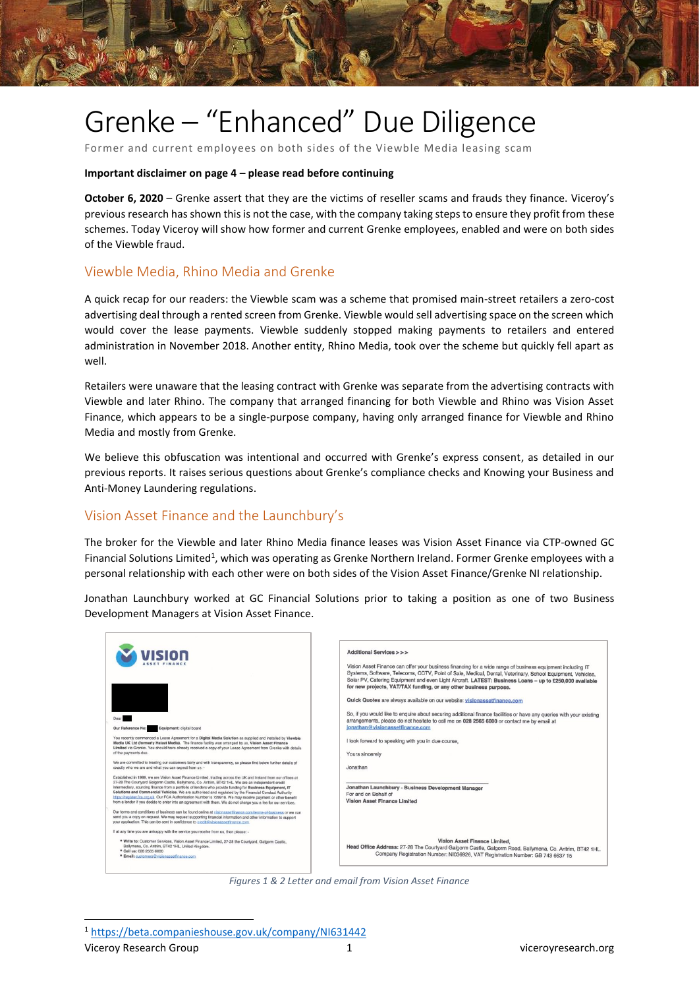

Former and current employees on both sides of the Viewble Media leasing scam

### **Important disclaimer on page 4 – please read before continuing**

**October 6, 2020** – Grenke assert that they are the victims of reseller scams and frauds they finance. Viceroy's previous research has shown this is not the case, with the company taking steps to ensure they profit from these schemes. Today Viceroy will show how former and current Grenke employees, enabled and were on both sides of the Viewble fraud.

## Viewble Media, Rhino Media and Grenke

A quick recap for our readers: the Viewble scam was a scheme that promised main-street retailers a zero-cost advertising deal through a rented screen from Grenke. Viewble would sell advertising space on the screen which would cover the lease payments. Viewble suddenly stopped making payments to retailers and entered administration in November 2018. Another entity, Rhino Media, took over the scheme but quickly fell apart as well.

Retailers were unaware that the leasing contract with Grenke was separate from the advertising contracts with Viewble and later Rhino. The company that arranged financing for both Viewble and Rhino was Vision Asset Finance, which appears to be a single-purpose company, having only arranged finance for Viewble and Rhino Media and mostly from Grenke.

We believe this obfuscation was intentional and occurred with Grenke's express consent, as detailed in our previous reports. It raises serious questions about Grenke's compliance checks and Knowing your Business and Anti-Money Laundering regulations.

### Vision Asset Finance and the Launchbury's

The broker for the Viewble and later Rhino Media finance leases was Vision Asset Finance via CTP-owned GC Financial Solutions Limited<sup>1</sup>, which was operating as Grenke Northern Ireland. Former Grenke employees with a personal relationship with each other were on both sides of the Vision Asset Finance/Grenke NI relationship.

Jonathan Launchbury worked at GC Financial Solutions prior to taking a position as one of two Business Development Managers at Vision Asset Finance.



*Figures 1 & 2 Letter and email from Vision Asset Finance*

<sup>1</sup> <https://beta.companieshouse.gov.uk/company/NI631442>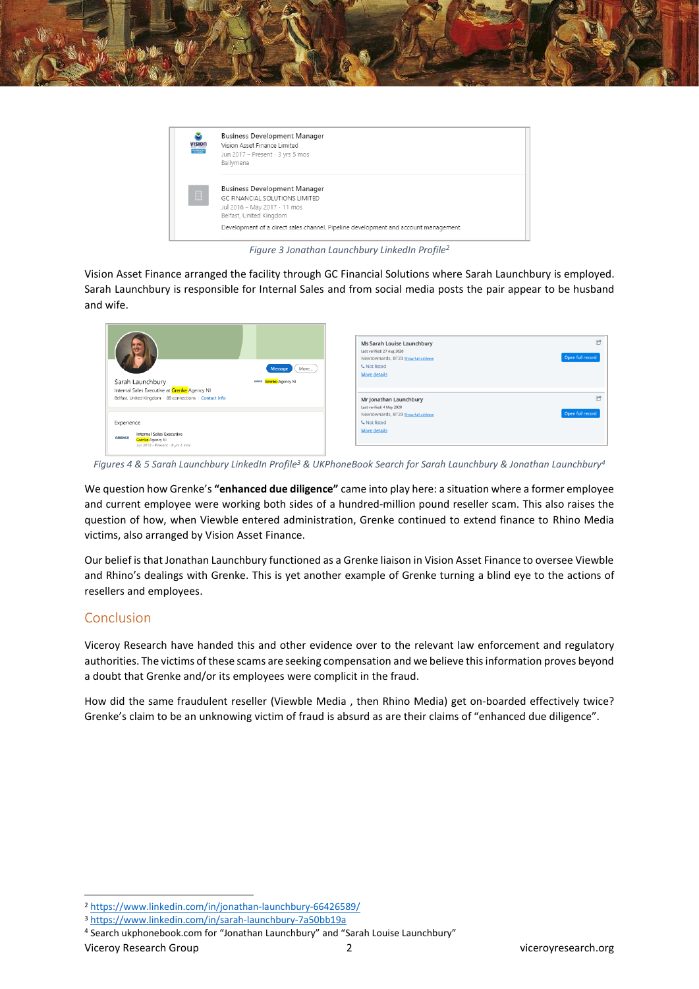

| <b>Business Development Manager</b><br>Vision Asset Finance Limited<br>Jun 2017 - Present · 3 yrs 5 mos<br>Ballymena             |
|----------------------------------------------------------------------------------------------------------------------------------|
| <b>Business Development Manager</b><br>GC FINANCIAL SOLUTIONS LIMITED<br>Jul 2016 - May 2017 · 11 mos<br>Belfast, United Kingdom |
| Development of a direct sales channel. Pipeline development and account management.                                              |
|                                                                                                                                  |

*Figure 3 Jonathan Launchbury LinkedIn Profile<sup>2</sup>*

Vision Asset Finance arranged the facility through GC Financial Solutions where Sarah Launchbury is employed. Sarah Launchbury is responsible for Internal Sales and from social media posts the pair appear to be husband and wife.

| More<br>Message<br>Sarah Launchbury<br>GRENCE Grenke Agency NI<br>Internal Sales Executive at Grenke Agency NI         | Ms Sarah Louise Launchbury<br>Last verified: 27 Aug 2020<br>Newtownards, BT23 Show full address<br><b>C</b> Not listed<br><b>More details</b> | Open full record |
|------------------------------------------------------------------------------------------------------------------------|-----------------------------------------------------------------------------------------------------------------------------------------------|------------------|
| Belfast, United Kingdom · 88 connections · Contact info                                                                | Mr Jonathan Launchbury<br>Last verified: 4 May 2020                                                                                           |                  |
| Experience<br><b>Internal Sales Executive</b><br><b>GRENKE</b><br>Grenke Agency Ni<br>Jun 2012 - Present - 8 yrs 4 mos | Newtownards, BT23 Show full address<br><b>L</b> Not listed<br><b>More details</b>                                                             | Open full record |

*Figures 4 & 5 Sarah Launchbury LinkedIn Profile<sup>3</sup> & UKPhoneBook Search for Sarah Launchbury & Jonathan Launchbury<sup>4</sup>*

We question how Grenke's **"enhanced due diligence"** came into play here: a situation where a former employee and current employee were working both sides of a hundred-million pound reseller scam. This also raises the question of how, when Viewble entered administration, Grenke continued to extend finance to Rhino Media victims, also arranged by Vision Asset Finance.

Our belief is that Jonathan Launchbury functioned as a Grenke liaison in Vision Asset Finance to oversee Viewble and Rhino's dealings with Grenke. This is yet another example of Grenke turning a blind eye to the actions of resellers and employees.

# Conclusion

Viceroy Research have handed this and other evidence over to the relevant law enforcement and regulatory authorities. The victims of these scams are seeking compensation and we believe thisinformation proves beyond a doubt that Grenke and/or its employees were complicit in the fraud.

How did the same fraudulent reseller (Viewble Media , then Rhino Media) get on-boarded effectively twice? Grenke's claim to be an unknowing victim of fraud is absurd as are their claims of "enhanced due diligence".

<sup>2</sup> <https://www.linkedin.com/in/jonathan-launchbury-66426589/>

<sup>3</sup> <https://www.linkedin.com/in/sarah-launchbury-7a50bb19a>

<sup>4</sup> Search ukphonebook.com for "Jonathan Launchbury" and "Sarah Louise Launchbury"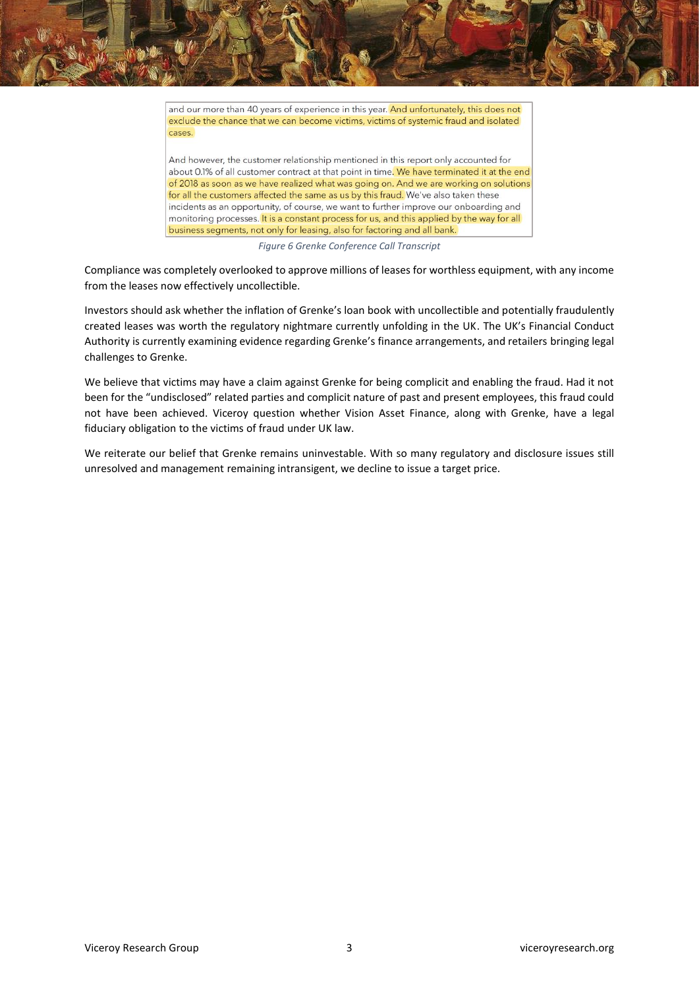and our more than 40 years of experience in this year. And unfortunately, this does not exclude the chance that we can become victims, victims of systemic fraud and isolated cases.

And however, the customer relationship mentioned in this report only accounted for about 0.1% of all customer contract at that point in time. We have terminated it at the end of 2018 as soon as we have realized what was going on. And we are working on solutions for all the customers affected the same as us by this fraud. We've also taken these incidents as an opportunity, of course, we want to further improve our onboarding and monitoring processes. It is a constant process for us, and this applied by the way for all business segments, not only for leasing, also for factoring and all bank.

*Figure 6 Grenke Conference Call Transcript*

Compliance was completely overlooked to approve millions of leases for worthless equipment, with any income from the leases now effectively uncollectible.

Investors should ask whether the inflation of Grenke's loan book with uncollectible and potentially fraudulently created leases was worth the regulatory nightmare currently unfolding in the UK. The UK's Financial Conduct Authority is currently examining evidence regarding Grenke's finance arrangements, and retailers bringing legal challenges to Grenke.

We believe that victims may have a claim against Grenke for being complicit and enabling the fraud. Had it not been for the "undisclosed" related parties and complicit nature of past and present employees, this fraud could not have been achieved. Viceroy question whether Vision Asset Finance, along with Grenke, have a legal fiduciary obligation to the victims of fraud under UK law.

We reiterate our belief that Grenke remains uninvestable. With so many regulatory and disclosure issues still unresolved and management remaining intransigent, we decline to issue a target price.